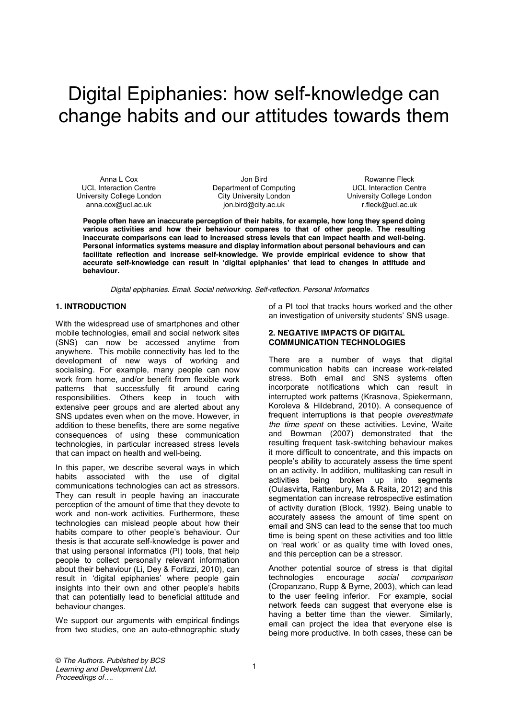# Digital Epiphanies: how self-knowledge can change habits and our attitudes towards them

Anna L Cox UCL Interaction Centre University College London anna.cox@ucl.ac.uk

Jon Bird Department of Computing City University London jon.bird@city.ac.uk

Rowanne Fleck UCL Interaction Centre University College London r.fleck@ucl.ac.uk

**People often have an inaccurate perception of their habits, for example, how long they spend doing various activities and how their behaviour compares to that of other people. The resulting inaccurate comparisons can lead to increased stress levels that can impact health and well-being. Personal informatics systems measure and display information about personal behaviours and can facilitate reflection and increase self-knowledge. We provide empirical evidence to show that accurate self-knowledge can result in 'digital epiphanies' that lead to changes in attitude and behaviour.** 

*Digital epiphanies. Email. Social networking. Self-reflection. Personal Informatics*

# **1. INTRODUCTION**

With the widespread use of smartphones and other mobile technologies, email and social network sites (SNS) can now be accessed anytime from anywhere. This mobile connectivity has led to the development of new ways of working and socialising. For example, many people can now work from home, and/or benefit from flexible work patterns that successfully fit around caring responsibilities. Others keep in touch with extensive peer groups and are alerted about any SNS updates even when on the move. However, in addition to these benefits, there are some negative consequences of using these communication technologies, in particular increased stress levels that can impact on health and well-being.

In this paper, we describe several ways in which habits associated with the use of digital communications technologies can act as stressors. They can result in people having an inaccurate perception of the amount of time that they devote to work and non-work activities. Furthermore, these technologies can mislead people about how their habits compare to other people's behaviour. Our thesis is that accurate self-knowledge is power and that using personal informatics (PI) tools, that help people to collect personally relevant information about their behaviour (Li, Dey & Forlizzi, 2010), can result in 'digital epiphanies' where people gain insights into their own and other people's habits that can potentially lead to beneficial attitude and behaviour changes.

We support our arguments with empirical findings from two studies, one an auto-ethnographic study of a PI tool that tracks hours worked and the other an investigation of university students' SNS usage.

#### **2. NEGATIVE IMPACTS OF DIGITAL COMMUNICATION TECHNOLOGIES**

There are a number of ways that digital communication habits can increase work-related stress. Both email and SNS systems often incorporate notifications which can result in interrupted work patterns (Krasnova, Spiekermann, Koroleva & Hildebrand, 2010). A consequence of frequent interruptions is that people *overestimate the time spent* on these activities. Levine, Waite and Bowman (2007) demonstrated that the resulting frequent task-switching behaviour makes it more difficult to concentrate, and this impacts on people's ability to accurately assess the time spent on an activity. In addition, multitasking can result in activities being broken up into segments (Oulasvirta, Rattenbury, Ma & Raita, 2012) and this segmentation can increase retrospective estimation of activity duration (Block, 1992). Being unable to accurately assess the amount of time spent on email and SNS can lead to the sense that too much time is being spent on these activities and too little on 'real work' or as quality time with loved ones, and this perception can be a stressor.

Another potential source of stress is that digital technologies encourage *social comparison* (Cropanzano, Rupp & Byrne, 2003), which can lead to the user feeling inferior. For example, social network feeds can suggest that everyone else is having a better time than the viewer. Similarly, email can project the idea that everyone else is being more productive. In both cases, these can be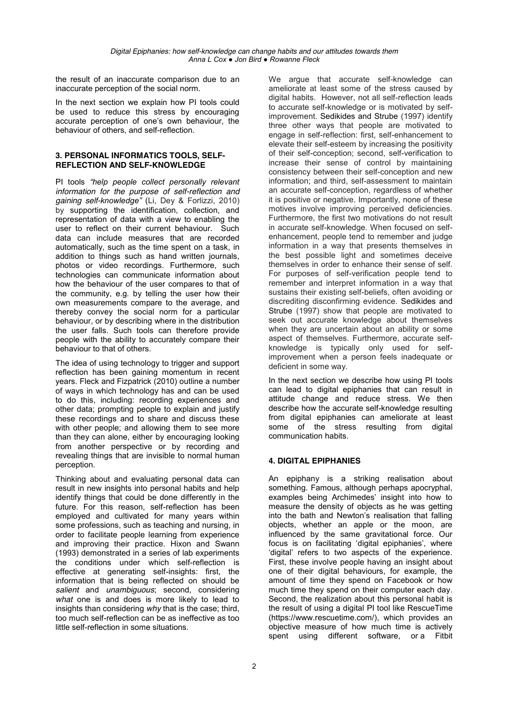the result of an inaccurate comparison due to an inaccurate perception of the social norm.

In the next section we explain how PI tools could be used to reduce this stress by encouraging accurate perception of one's own behaviour, the behaviour of others, and self-reflection.

#### **3. PERSONAL INFORMATICS TOOLS, SELF-REFLECTION AND SELF-KNOWLEDGE**

PI tools *"help people collect personally relevant information for the purpose of self-reflection and gaining self-knowledge"* (Li, Dey & Forlizzi, 2010) by supporting the identification, collection, and representation of data with a view to enabling the user to reflect on their current behaviour. Such data can include measures that are recorded automatically, such as the time spent on a task, in addition to things such as hand written journals, photos or video recordings. Furthermore, such technologies can communicate information about how the behaviour of the user compares to that of the community, e.g. by telling the user how their own measurements compare to the average, and thereby convey the social norm for a particular behaviour, or by describing where in the distribution the user falls. Such tools can therefore provide people with the ability to accurately compare their behaviour to that of others.

The idea of using technology to trigger and support reflection has been gaining momentum in recent years. Fleck and Fizpatrick (2010) outline a number of ways in which technology has and can be used to do this, including: recording experiences and other data; prompting people to explain and justify these recordings and to share and discuss these with other people; and allowing them to see more than they can alone, either by encouraging looking from another perspective or by recording and revealing things that are invisible to normal human perception.

Thinking about and evaluating personal data can result in new insights into personal habits and help identify things that could be done differently in the future. For this reason, self-reflection has been employed and cultivated for many years within some professions, such as teaching and nursing, in order to facilitate people learning from experience and improving their practice. Hixon and Swann (1993) demonstrated in a series of lab experiments the conditions under which self-reflection is effective at generating self-insights: first, the information that is being reflected on should be *salient* and *unambiguous*; second, considering *what* one is and does is more likely to lead to insights than considering *why* that is the case; third, too much self-reflection can be as ineffective as too little self-reflection in some situations.

We argue that accurate self-knowledge can ameliorate at least some of the stress caused by digital habits. However, not all self-reflection leads to accurate self-knowledge or is motivated by selfimprovement. Sedikides and Strube (1997) identify three other ways that people are motivated to engage in self-reflection: first, self-enhancement to elevate their self-esteem by increasing the positivity of their self-conception; second, self-verification to increase their sense of control by maintaining consistency between their self-conception and new information; and third, self-assessment to maintain an accurate self-conception, regardless of whether it is positive or negative. Importantly, none of these motives involve improving perceived deficiencies. Furthermore, the first two motivations do not result in accurate self-knowledge. When focused on selfenhancement, people tend to remember and judge information in a way that presents themselves in the best possible light and sometimes deceive themselves in order to enhance their sense of self. For purposes of self-verification people tend to remember and interpret information in a way that sustains their existing self-beliefs, often avoiding or discrediting disconfirming evidence. Sedikides and Strube (1997) show that people are motivated to seek out accurate knowledge about themselves when they are uncertain about an ability or some aspect of themselves. Furthermore, accurate selfknowledge is typically only used for selfimprovement when a person feels inadequate or deficient in some way.

In the next section we describe how using PI tools can lead to digital epiphanies that can result in attitude change and reduce stress. We then describe how the accurate self-knowledge resulting from digital epiphanies can ameliorate at least some of the stress resulting from digital communication habits.

# **4. DIGITAL EPIPHANIES**

An epiphany is a striking realisation about something. Famous, although perhaps apocryphal, examples being Archimedes' insight into how to measure the density of objects as he was getting into the bath and Newton's realisation that falling objects, whether an apple or the moon, are influenced by the same gravitational force. Our focus is on facilitating 'digital epiphanies', where 'digital' refers to two aspects of the experience. First, these involve people having an insight about one of their digital behaviours, for example, the amount of time they spend on Facebook or how much time they spend on their computer each day. Second, the realization about this personal habit is the result of using a digital PI tool like RescueTime (https://www.rescuetime.com/), which provides an objective measure of how much time is actively spent using different software, or a Fitbit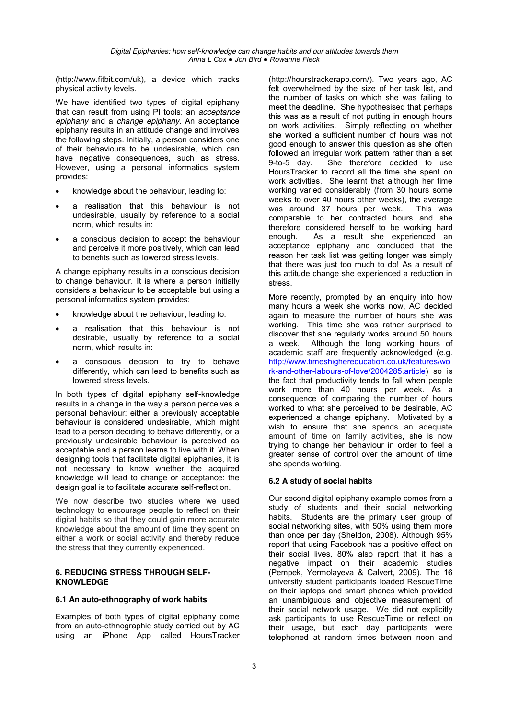(http://www.fitbit.com/uk), a device which tracks physical activity levels.

We have identified two types of digital epiphany that can result from using PI tools: an *acceptance epiphany* and a *change epiphany.* An acceptance epiphany results in an attitude change and involves the following steps. Initially, a person considers one of their behaviours to be undesirable, which can have negative consequences, such as stress, However, using a personal informatics system provides:

- knowledge about the behaviour, leading to:
- a realisation that this behaviour is not undesirable, usually by reference to a social norm, which results in:
- a conscious decision to accept the behaviour and perceive it more positively, which can lead to benefits such as lowered stress levels.

A change epiphany results in a conscious decision to change behaviour. It is where a person initially considers a behaviour to be acceptable but using a personal informatics system provides:

- knowledge about the behaviour, leading to:
- a realisation that this behaviour is not desirable, usually by reference to a social norm, which results in:
- a conscious decision to try to behave differently, which can lead to benefits such as lowered stress levels.

In both types of digital epiphany self-knowledge results in a change in the way a person perceives a personal behaviour: either a previously acceptable behaviour is considered undesirable, which might lead to a person deciding to behave differently, or a previously undesirable behaviour is perceived as acceptable and a person learns to live with it. When designing tools that facilitate digital epiphanies, it is not necessary to know whether the acquired knowledge will lead to change or acceptance: the design goal is to facilitate accurate self-reflection.

We now describe two studies where we used technology to encourage people to reflect on their digital habits so that they could gain more accurate knowledge about the amount of time they spent on either a work or social activity and thereby reduce the stress that they currently experienced.

#### **6. REDUCING STRESS THROUGH SELF-KNOWLEDGE**

## **6.1 An auto-ethnography of work habits**

Examples of both types of digital epiphany come from an auto-ethnographic study carried out by AC using an iPhone App called HoursTracker

(http://hourstrackerapp.com/). Two years ago, AC felt overwhelmed by the size of her task list, and the number of tasks on which she was failing to meet the deadline. She hypothesised that perhaps this was as a result of not putting in enough hours on work activities. Simply reflecting on whether she worked a sufficient number of hours was not good enough to answer this question as she often followed an irregular work pattern rather than a set 9-to-5 day. She therefore decided to use HoursTracker to record all the time she spent on work activities. She learnt that although her time working varied considerably (from 30 hours some weeks to over 40 hours other weeks), the average was around 37 hours per week. This was comparable to her contracted hours and she therefore considered herself to be working hard enough. As a result she experienced an acceptance epiphany and concluded that the reason her task list was getting longer was simply that there was just too much to do! As a result of this attitude change she experienced a reduction in stress.

More recently, prompted by an enquiry into how many hours a week she works now, AC decided again to measure the number of hours she was working. This time she was rather surprised to discover that she regularly works around 50 hours a week. Although the long working hours of academic staff are frequently acknowledged (e.g. http://www.timeshighereducation.co.uk/features/wo rk-and-other-labours-of-love/2004285.article) so is the fact that productivity tends to fall when people work more than 40 hours per week. As a consequence of comparing the number of hours worked to what she perceived to be desirable, AC experienced a change epiphany. Motivated by a wish to ensure that she spends an adequate amount of time on family activities, she is now trying to change her behaviour in order to feel a greater sense of control over the amount of time she spends working.

## **6.2 A study of social habits**

Our second digital epiphany example comes from a study of students and their social networking habits. Students are the primary user group of social networking sites, with 50% using them more than once per day (Sheldon, 2008). Although 95% report that using Facebook has a positive effect on their social lives, 80% also report that it has a negative impact on their academic studies (Pempek, Yermolayeva & Calvert, 2009). The 16 university student participants loaded RescueTime on their laptops and smart phones which provided an unambiguous and objective measurement of their social network usage. We did not explicitly ask participants to use RescueTime or reflect on their usage, but each day participants were telephoned at random times between noon and